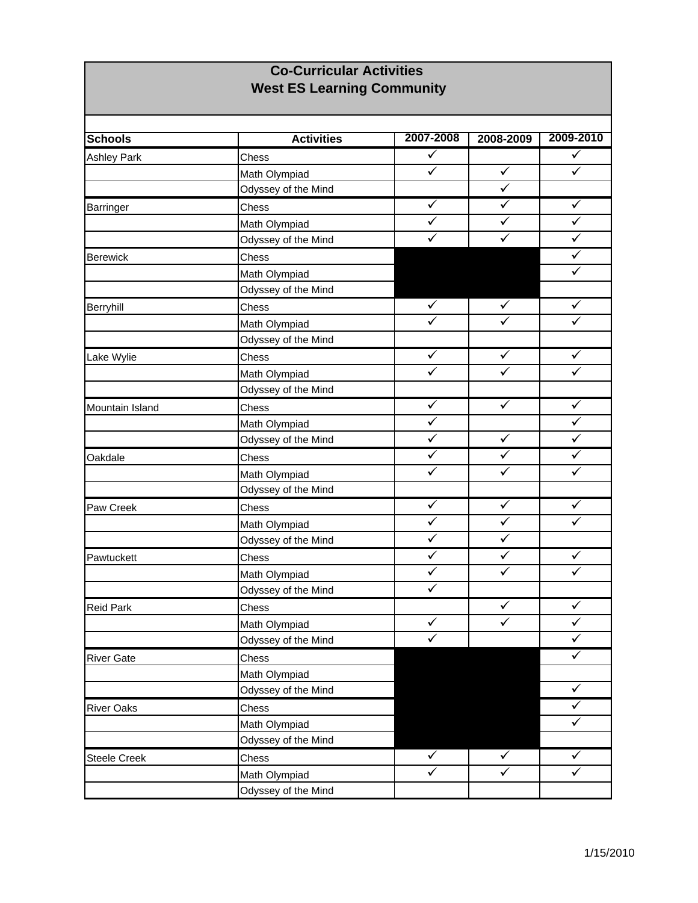## **Co-Curricular Activities West ES Learning Community**

| <b>Schools</b>      | <b>Activities</b>   | 2007-2008               | 2008-2009               | 2009-2010            |
|---------------------|---------------------|-------------------------|-------------------------|----------------------|
| <b>Ashley Park</b>  | Chess               | $\checkmark$            |                         | $\checkmark$         |
|                     | Math Olympiad       | $\checkmark$            | $\checkmark$            | $\checkmark$         |
|                     | Odyssey of the Mind |                         | $\overline{\checkmark}$ |                      |
| Barringer           | Chess               | ✓                       | ✓                       | ✓                    |
|                     | Math Olympiad       | ✓                       | ✓                       | $\checkmark$         |
|                     | Odyssey of the Mind | ✓                       | ✓                       | ✓                    |
| <b>Berewick</b>     | Chess               |                         |                         | $\checkmark$         |
|                     | Math Olympiad       |                         |                         | $\checkmark$         |
|                     | Odyssey of the Mind |                         |                         |                      |
| Berryhill           | Chess               | $\checkmark$            | $\checkmark$            | ✓                    |
|                     | Math Olympiad       | $\checkmark$            | $\checkmark$            | $\checkmark$         |
|                     | Odyssey of the Mind |                         |                         |                      |
| Lake Wylie          | Chess               | ✓                       | ✓                       | ✓                    |
|                     | Math Olympiad       | ✓                       | ✓                       | ✓                    |
|                     | Odyssey of the Mind |                         |                         |                      |
| Mountain Island     | Chess               | $\blacktriangledown$    | $\blacktriangledown$    | $\blacktriangledown$ |
|                     | Math Olympiad       | $\checkmark$            |                         | $\checkmark$         |
|                     | Odyssey of the Mind | $\checkmark$            | ✓                       |                      |
| Oakdale             | Chess               | $\overline{\checkmark}$ | ✓                       | ✓                    |
|                     | Math Olympiad       | ✓                       | ✓                       | ✓                    |
|                     | Odyssey of the Mind |                         |                         |                      |
| Paw Creek           | Chess               | ✓                       | $\checkmark$            | ✓                    |
|                     | Math Olympiad       | $\checkmark$            | $\checkmark$            | $\checkmark$         |
|                     | Odyssey of the Mind | $\checkmark$            | $\checkmark$            |                      |
| Pawtuckett          | Chess               | $\checkmark$            | $\checkmark$            | $\checkmark$         |
|                     | Math Olympiad       | $\checkmark$            | $\checkmark$            | $\checkmark$         |
|                     | Odyssey of the Mind | $\checkmark$            |                         |                      |
| <b>Reid Park</b>    | Chess               |                         | $\checkmark$            | $\checkmark$         |
|                     | Math Olympiad       | $\checkmark$            | $\checkmark$            | $\checkmark$         |
|                     | Odyssey of the Mind | $\checkmark$            |                         | $\checkmark$         |
| <b>River Gate</b>   | Chess               |                         |                         | ✓                    |
|                     | Math Olympiad       |                         |                         |                      |
|                     | Odyssey of the Mind |                         |                         | $\checkmark$         |
| <b>River Oaks</b>   | Chess               |                         |                         | $\checkmark$         |
|                     | Math Olympiad       |                         |                         | ✓                    |
|                     | Odyssey of the Mind |                         |                         |                      |
| <b>Steele Creek</b> | Chess               | $\checkmark$            | $\checkmark$            | $\checkmark$         |
|                     | Math Olympiad       | ✓                       | ✓                       | ✓                    |
|                     | Odyssey of the Mind |                         |                         |                      |